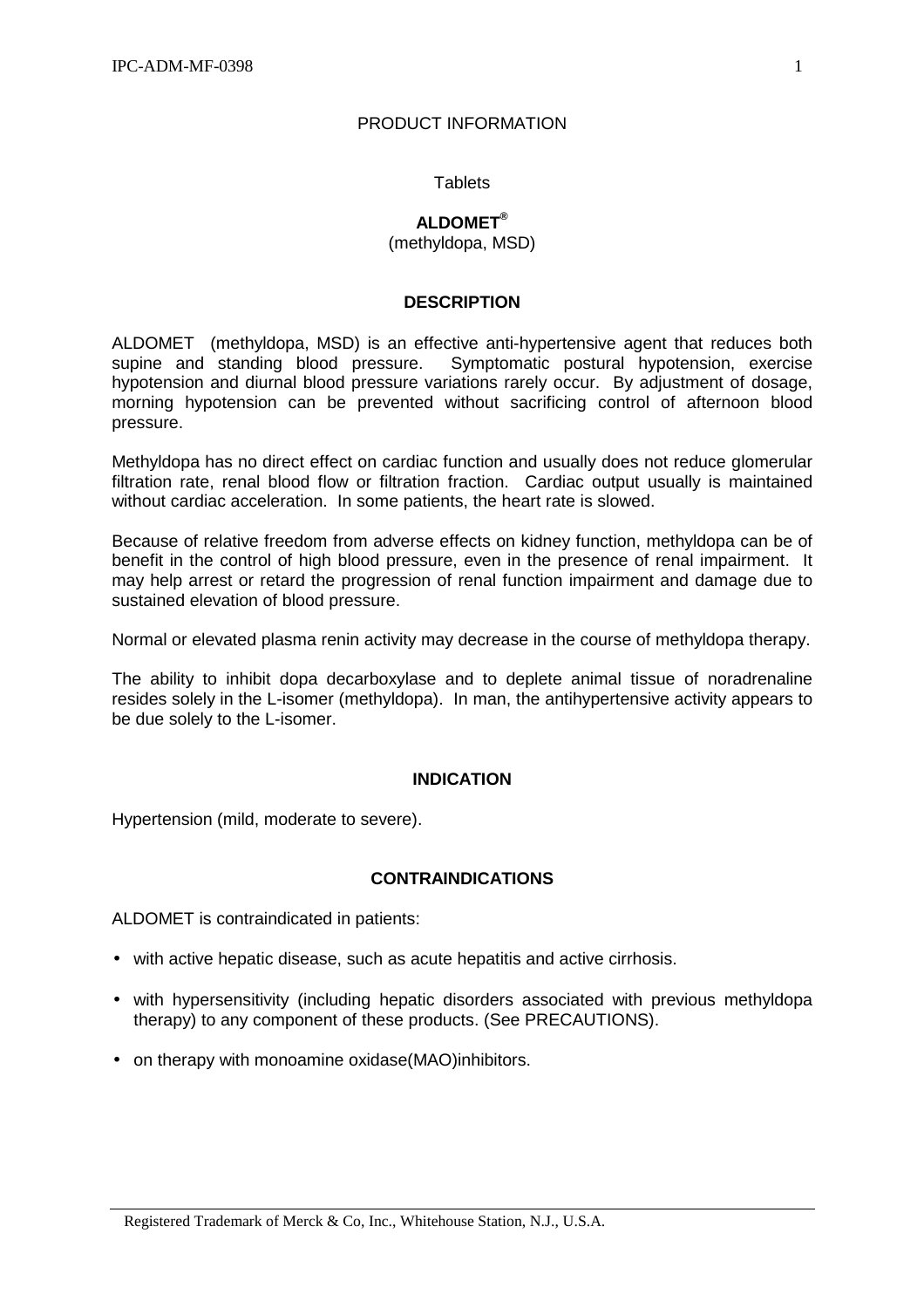## PRODUCT INFORMATION

## **Tablets**

# **ALDOMET®**

(methyldopa, MSD)

## **DESCRIPTION**

ALDOMET<sup>®</sup> (methyldopa, MSD) is an effective anti-hypertensive agent that reduces both supine and standing blood pressure. Symptomatic postural hypotension, exercise hypotension and diurnal blood pressure variations rarely occur. By adjustment of dosage, morning hypotension can be prevented without sacrificing control of afternoon blood pressure.

Methyldopa has no direct effect on cardiac function and usually does not reduce glomerular filtration rate, renal blood flow or filtration fraction. Cardiac output usually is maintained without cardiac acceleration. In some patients, the heart rate is slowed.

Because of relative freedom from adverse effects on kidney function, methyldopa can be of benefit in the control of high blood pressure, even in the presence of renal impairment. It may help arrest or retard the progression of renal function impairment and damage due to sustained elevation of blood pressure.

Normal or elevated plasma renin activity may decrease in the course of methyldopa therapy.

The ability to inhibit dopa decarboxylase and to deplete animal tissue of noradrenaline resides solely in the L-isomer (methyldopa). In man, the antihypertensive activity appears to be due solely to the L-isomer.

# **INDICATION**

Hypertension (mild, moderate to severe).

# **CONTRAINDICATIONS**

ALDOMET is contraindicated in patients:

- with active hepatic disease, such as acute hepatitis and active cirrhosis.
- with hypersensitivity (including hepatic disorders associated with previous methyldopa therapy) to any component of these products. (See PRECAUTIONS).
- on therapy with monoamine oxidase (MAO) inhibitors.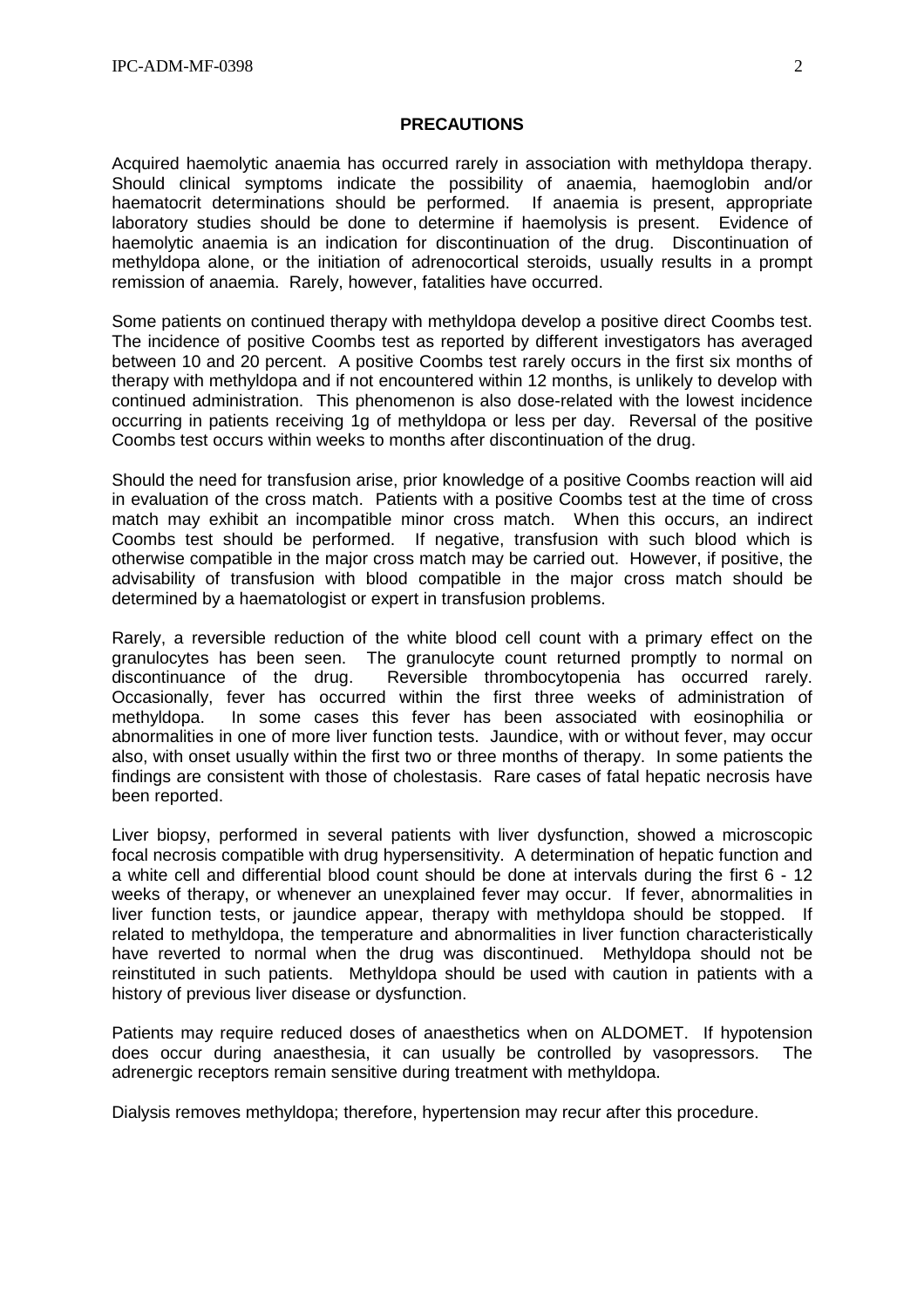#### **PRECAUTIONS**

Acquired haemolytic anaemia has occurred rarely in association with methyldopa therapy. Should clinical symptoms indicate the possibility of anaemia, haemoglobin and/or haematocrit determinations should be performed. If anaemia is present, appropriate laboratory studies should be done to determine if haemolysis is present. Evidence of haemolytic anaemia is an indication for discontinuation of the drug. Discontinuation of methyldopa alone, or the initiation of adrenocortical steroids, usually results in a prompt remission of anaemia. Rarely, however, fatalities have occurred.

Some patients on continued therapy with methyldopa develop a positive direct Coombs test. The incidence of positive Coombs test as reported by different investigators has averaged between 10 and 20 percent. A positive Coombs test rarely occurs in the first six months of therapy with methyldopa and if not encountered within 12 months, is unlikely to develop with continued administration. This phenomenon is also dose-related with the lowest incidence occurring in patients receiving 1g of methyldopa or less per day. Reversal of the positive Coombs test occurs within weeks to months after discontinuation of the drug.

Should the need for transfusion arise, prior knowledge of a positive Coombs reaction will aid in evaluation of the cross match. Patients with a positive Coombs test at the time of cross match may exhibit an incompatible minor cross match. When this occurs, an indirect Coombs test should be performed. If negative, transfusion with such blood which is otherwise compatible in the major cross match may be carried out. However, if positive, the advisability of transfusion with blood compatible in the major cross match should be determined by a haematologist or expert in transfusion problems.

Rarely, a reversible reduction of the white blood cell count with a primary effect on the granulocytes has been seen. The granulocyte count returned promptly to normal on discontinuance of the drug. Reversible thrombocytopenia has occurred rarely. Occasionally, fever has occurred within the first three weeks of administration of methyldopa. In some cases this fever has been associated with eosinophilia or abnormalities in one of more liver function tests. Jaundice, with or without fever, may occur also, with onset usually within the first two or three months of therapy. In some patients the findings are consistent with those of cholestasis. Rare cases of fatal hepatic necrosis have been reported.

Liver biopsy, performed in several patients with liver dysfunction, showed a microscopic focal necrosis compatible with drug hypersensitivity. A determination of hepatic function and a white cell and differential blood count should be done at intervals during the first 6 - 12 weeks of therapy, or whenever an unexplained fever may occur. If fever, abnormalities in liver function tests, or jaundice appear, therapy with methyldopa should be stopped. If related to methyldopa, the temperature and abnormalities in liver function characteristically have reverted to normal when the drug was discontinued. Methyldopa should not be reinstituted in such patients. Methyldopa should be used with caution in patients with a history of previous liver disease or dysfunction.

Patients may require reduced doses of anaesthetics when on ALDOMET. If hypotension does occur during anaesthesia, it can usually be controlled by vasopressors. The adrenergic receptors remain sensitive during treatment with methyldopa.

Dialysis removes methyldopa; therefore, hypertension may recur after this procedure.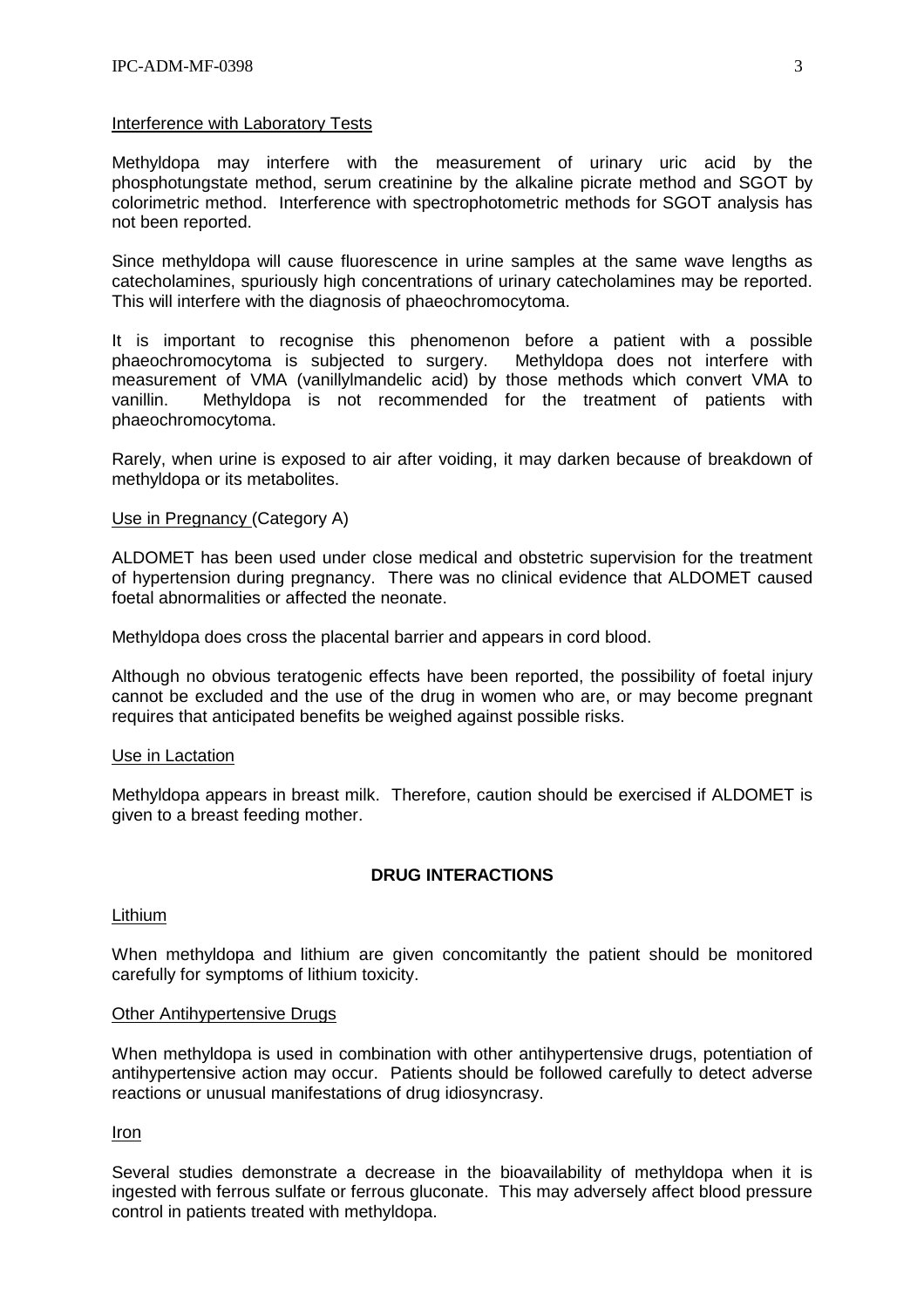## Interference with Laboratory Tests

Methyldopa may interfere with the measurement of urinary uric acid by the phosphotungstate method, serum creatinine by the alkaline picrate method and SGOT by colorimetric method. Interference with spectrophotometric methods for SGOT analysis has not been reported.

Since methyldopa will cause fluorescence in urine samples at the same wave lengths as catecholamines, spuriously high concentrations of urinary catecholamines may be reported. This will interfere with the diagnosis of phaeochromocytoma.

It is important to recognise this phenomenon before a patient with a possible phaeochromocytoma is subjected to surgery. Methyldopa does not interfere with measurement of VMA (vanillylmandelic acid) by those methods which convert VMA to vanillin. Methyldopa is not recommended for the treatment of patients with phaeochromocytoma.

Rarely, when urine is exposed to air after voiding, it may darken because of breakdown of methyldopa or its metabolites.

## Use in Pregnancy (Category A)

ALDOMET has been used under close medical and obstetric supervision for the treatment of hypertension during pregnancy. There was no clinical evidence that ALDOMET caused foetal abnormalities or affected the neonate.

Methyldopa does cross the placental barrier and appears in cord blood.

Although no obvious teratogenic effects have been reported, the possibility of foetal injury cannot be excluded and the use of the drug in women who are, or may become pregnant requires that anticipated benefits be weighed against possible risks.

### Use in Lactation

Methyldopa appears in breast milk. Therefore, caution should be exercised if ALDOMET is given to a breast feeding mother.

# **DRUG INTERACTIONS**

### Lithium

When methyldopa and lithium are given concomitantly the patient should be monitored carefully for symptoms of lithium toxicity.

### Other Antihypertensive Drugs

When methyldopa is used in combination with other antihypertensive drugs, potentiation of antihypertensive action may occur. Patients should be followed carefully to detect adverse reactions or unusual manifestations of drug idiosyncrasy.

## Iron

Several studies demonstrate a decrease in the bioavailability of methyldopa when it is ingested with ferrous sulfate or ferrous gluconate. This may adversely affect blood pressure control in patients treated with methyldopa.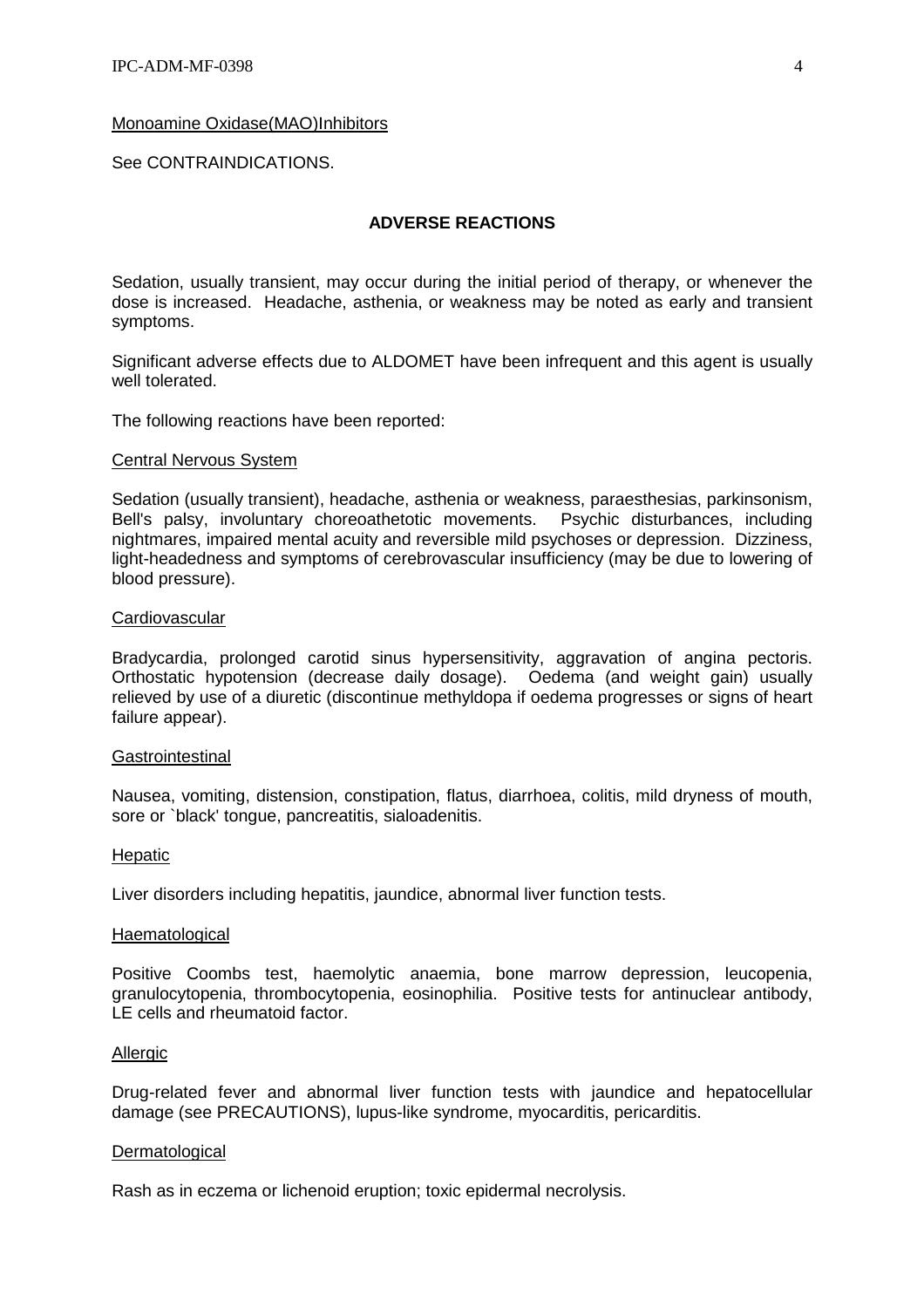#### Monoamine Oxidase(MAO)Inhibitors

See CONTRAINDICATIONS.

## **ADVERSE REACTIONS**

Sedation, usually transient, may occur during the initial period of therapy, or whenever the dose is increased. Headache, asthenia, or weakness may be noted as early and transient symptoms.

Significant adverse effects due to ALDOMET have been infrequent and this agent is usually well tolerated.

The following reactions have been reported:

#### Central Nervous System

Sedation (usually transient), headache, asthenia or weakness, paraesthesias, parkinsonism, Bell's palsy, involuntary choreoathetotic movements. Psychic disturbances, including nightmares, impaired mental acuity and reversible mild psychoses or depression. Dizziness, light-headedness and symptoms of cerebrovascular insufficiency (may be due to lowering of blood pressure).

#### **Cardiovascular**

Bradycardia, prolonged carotid sinus hypersensitivity, aggravation of angina pectoris. Orthostatic hypotension (decrease daily dosage). Oedema (and weight gain) usually relieved by use of a diuretic (discontinue methyldopa if oedema progresses or signs of heart failure appear).

#### **Gastrointestinal**

Nausea, vomiting, distension, constipation, flatus, diarrhoea, colitis, mild dryness of mouth, sore or `black' tongue, pancreatitis, sialoadenitis.

#### **Hepatic**

Liver disorders including hepatitis, jaundice, abnormal liver function tests.

#### **Haematological**

Positive Coombs test, haemolytic anaemia, bone marrow depression, leucopenia, granulocytopenia, thrombocytopenia, eosinophilia. Positive tests for antinuclear antibody, LE cells and rheumatoid factor.

#### Allergic

Drug-related fever and abnormal liver function tests with jaundice and hepatocellular damage (see PRECAUTIONS), lupus-like syndrome, myocarditis, pericarditis.

#### **Dermatological**

Rash as in eczema or lichenoid eruption; toxic epidermal necrolysis.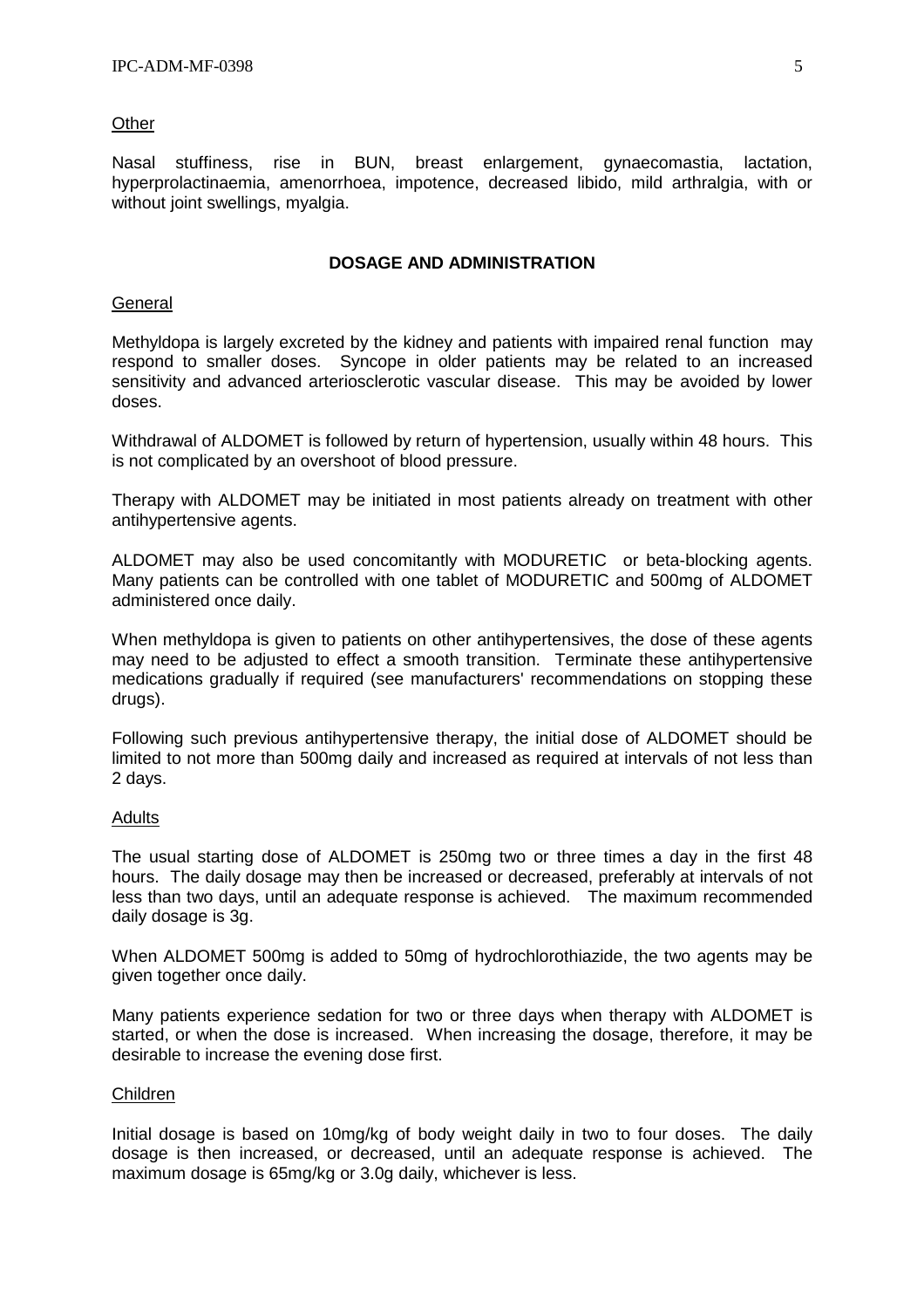#### **Other**

Nasal stuffiness, rise in BUN, breast enlargement, gynaecomastia, lactation, hyperprolactinaemia, amenorrhoea, impotence, decreased libido, mild arthralgia, with or without joint swellings, myalgia.

## **DOSAGE AND ADMINISTRATION**

#### **General**

Methyldopa is largely excreted by the kidney and patients with impaired renal function may respond to smaller doses. Syncope in older patients may be related to an increased sensitivity and advanced arteriosclerotic vascular disease. This may be avoided by lower doses.

Withdrawal of ALDOMET is followed by return of hypertension, usually within 48 hours. This is not complicated by an overshoot of blood pressure.

Therapy with ALDOMET may be initiated in most patients already on treatment with other antihypertensive agents.

ALDOMET may also be used concomitantly with MODURETIC<sup>®</sup> or beta-blocking agents. Many patients can be controlled with one tablet of MODURETIC and 500mg of ALDOMET administered once daily.

When methyldopa is given to patients on other antihypertensives, the dose of these agents may need to be adjusted to effect a smooth transition. Terminate these antihypertensive medications gradually if required (see manufacturers' recommendations on stopping these drugs).

Following such previous antihypertensive therapy, the initial dose of ALDOMET should be limited to not more than 500mg daily and increased as required at intervals of not less than 2 days.

### Adults

The usual starting dose of ALDOMET is 250mg two or three times a day in the first 48 hours. The daily dosage may then be increased or decreased, preferably at intervals of not less than two days, until an adequate response is achieved. The maximum recommended daily dosage is 3g.

When ALDOMET 500mg is added to 50mg of hydrochlorothiazide, the two agents may be given together once daily.

Many patients experience sedation for two or three days when therapy with ALDOMET is started, or when the dose is increased. When increasing the dosage, therefore, it may be desirable to increase the evening dose first.

### Children

Initial dosage is based on 10mg/kg of body weight daily in two to four doses. The daily dosage is then increased, or decreased, until an adequate response is achieved. The maximum dosage is 65mg/kg or 3.0g daily, whichever is less.